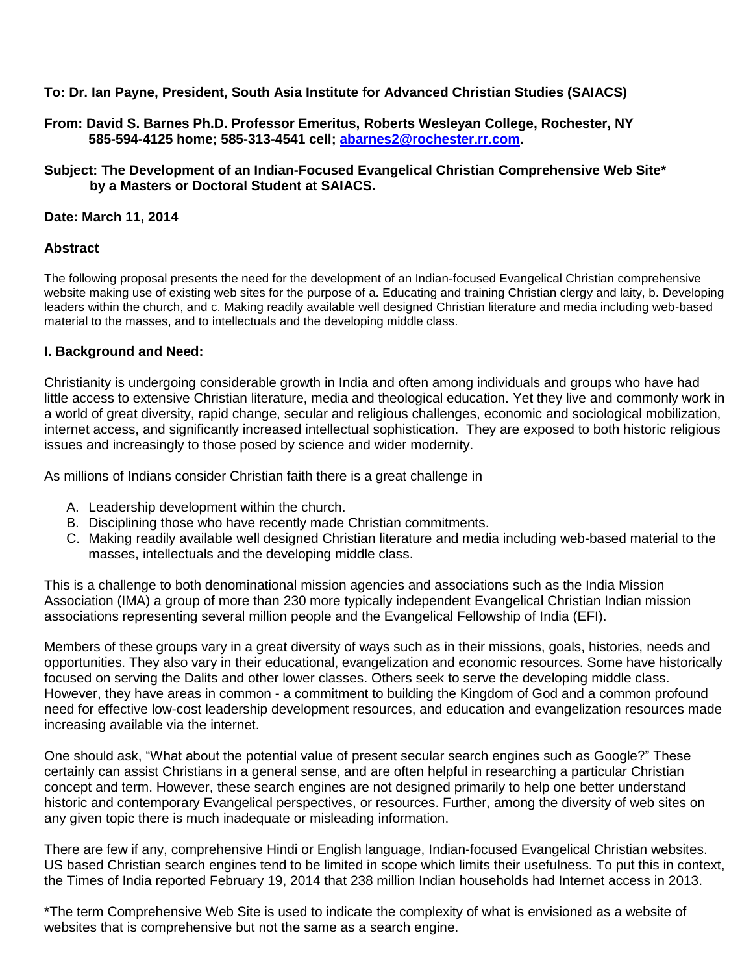**To: Dr. Ian Payne, President, South Asia Institute for Advanced Christian Studies (SAIACS)**

**From: David S. Barnes Ph.D. Professor Emeritus, Roberts Wesleyan College, Rochester, NY 585-594-4125 home; 585-313-4541 cell; [abarnes2@rochester.rr.com.](mailto:abarnes2@rochester.rr.com)**

**Subject: The Development of an Indian-Focused Evangelical Christian Comprehensive Web Site\* by a Masters or Doctoral Student at SAIACS.**

**Date: March 11, 2014**

#### **Abstract**

The following proposal presents the need for the development of an Indian-focused Evangelical Christian comprehensive website making use of existing web sites for the purpose of a. Educating and training Christian clergy and laity, b. Developing leaders within the church, and c. Making readily available well designed Christian literature and media including web-based material to the masses, and to intellectuals and the developing middle class.

#### **I. Background and Need:**

Christianity is undergoing considerable growth in India and often among individuals and groups who have had little access to extensive Christian literature, media and theological education. Yet they live and commonly work in a world of great diversity, rapid change, secular and religious challenges, economic and sociological mobilization, internet access, and significantly increased intellectual sophistication. They are exposed to both historic religious issues and increasingly to those posed by science and wider modernity.

As millions of Indians consider Christian faith there is a great challenge in

- A. Leadership development within the church.
- B. Disciplining those who have recently made Christian commitments.
- C. Making readily available well designed Christian literature and media including web-based material to the masses, intellectuals and the developing middle class.

This is a challenge to both denominational mission agencies and associations such as the India Mission Association (IMA) a group of more than 230 more typically independent Evangelical Christian Indian mission associations representing several million people and the Evangelical Fellowship of India (EFI).

Members of these groups vary in a great diversity of ways such as in their missions, goals, histories, needs and opportunities. They also vary in their educational, evangelization and economic resources. Some have historically focused on serving the Dalits and other lower classes. Others seek to serve the developing middle class. However, they have areas in common - a commitment to building the Kingdom of God and a common profound need for effective low-cost leadership development resources, and education and evangelization resources made increasing available via the internet.

One should ask, "What about the potential value of present secular search engines such as Google?" These certainly can assist Christians in a general sense, and are often helpful in researching a particular Christian concept and term. However, these search engines are not designed primarily to help one better understand historic and contemporary Evangelical perspectives, or resources. Further, among the diversity of web sites on any given topic there is much inadequate or misleading information.

There are few if any, comprehensive Hindi or English language, Indian-focused Evangelical Christian websites. US based Christian search engines tend to be limited in scope which limits their usefulness. To put this in context, the Times of India reported February 19, 2014 that 238 million Indian households had Internet access in 2013.

\*The term Comprehensive Web Site is used to indicate the complexity of what is envisioned as a website of websites that is comprehensive but not the same as a search engine.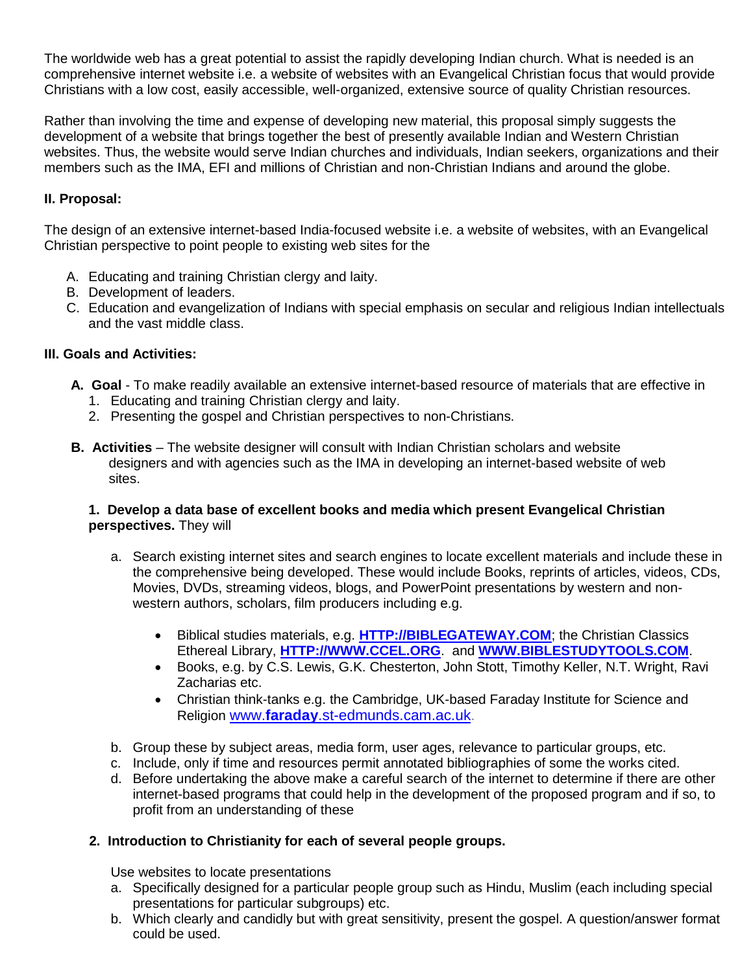The worldwide web has a great potential to assist the rapidly developing Indian church. What is needed is an comprehensive internet website i.e. a website of websites with an Evangelical Christian focus that would provide Christians with a low cost, easily accessible, well-organized, extensive source of quality Christian resources.

Rather than involving the time and expense of developing new material, this proposal simply suggests the development of a website that brings together the best of presently available Indian and Western Christian websites. Thus, the website would serve Indian churches and individuals, Indian seekers, organizations and their members such as the IMA, EFI and millions of Christian and non-Christian Indians and around the globe.

# **II. Proposal:**

The design of an extensive internet-based India-focused website i.e. a website of websites, with an Evangelical Christian perspective to point people to existing web sites for the

- A. Educating and training Christian clergy and laity.
- B. Development of leaders.
- C. Education and evangelization of Indians with special emphasis on secular and religious Indian intellectuals and the vast middle class.

## **III. Goals and Activities:**

- **A. Goal**  To make readily available an extensive internet-based resource of materials that are effective in 1. Educating and training Christian clergy and laity.
	- 2. Presenting the gospel and Christian perspectives to non-Christians.
- **B. Activities** The website designer will consult with Indian Christian scholars and website designers and with agencies such as the IMA in developing an internet-based website of web sites.

### **1. Develop a data base of excellent books and media which present Evangelical Christian perspectives.** They will

- a. Search existing internet sites and search engines to locate excellent materials and include these in the comprehensive being developed. These would include Books, reprints of articles, videos, CDs, Movies, DVDs, streaming videos, blogs, and PowerPoint presentations by western and nonwestern authors, scholars, film producers including e.g.
	- Biblical studies materials, e.g. **[HTTP://BIBLEGATEWAY.COM](http://biblegateway.com/)**; the Christian Classics Ethereal Library, **[HTTP://WWW.CCEL.ORG](http://www.ccel.org/)**. and **[WWW.BIBLESTUDYTOOLS.COM](http://www.biblestudytools.com/)**.
	- Books, e.g. by C.S. Lewis, G.K. Chesterton, John Stott, Timothy Keller, N.T. Wright, Ravi Zacharias etc.
	- Christian think-tanks e.g. the Cambridge, UK-based Faraday Institute for Science and Religion www.**faraday**[.st-edmunds.cam.ac.uk.](http://www.faraday.st-edmunds.cam.ac.uk/)
- b. Group these by subject areas, media form, user ages, relevance to particular groups, etc.
- c. Include, only if time and resources permit annotated bibliographies of some the works cited.
- d. Before undertaking the above make a careful search of the internet to determine if there are other internet-based programs that could help in the development of the proposed program and if so, to profit from an understanding of these

### **2. Introduction to Christianity for each of several people groups.**

Use websites to locate presentations

- a. Specifically designed for a particular people group such as Hindu, Muslim (each including special presentations for particular subgroups) etc.
- b. Which clearly and candidly but with great sensitivity, present the gospel. A question/answer format could be used.